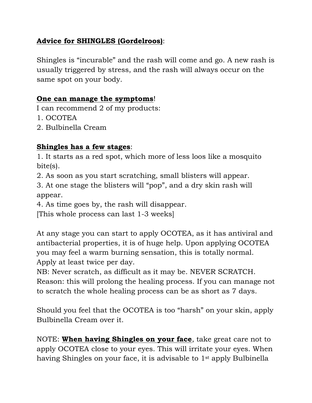## **Advice for SHINGLES (Gordelroos)**:

Shingles is "incurable" and the rash will come and go. A new rash is usually triggered by stress, and the rash will always occur on the same spot on your body.

## **One can manage the symptoms**!

I can recommend 2 of my products:

- 1. OCOTEA
- 2. Bulbinella Cream

## **Shingles has a few stages**:

1. It starts as a red spot, which more of less loos like a mosquito bite(s).

2. As soon as you start scratching, small blisters will appear.

3. At one stage the blisters will "pop", and a dry skin rash will appear.

4. As time goes by, the rash will disappear.

[This whole process can last 1-3 weeks]

At any stage you can start to apply OCOTEA, as it has antiviral and antibacterial properties, it is of huge help. Upon applying OCOTEA you may feel a warm burning sensation, this is totally normal. Apply at least twice per day.

NB: Never scratch, as difficult as it may be. NEVER SCRATCH.

Reason: this will prolong the healing process. If you can manage not to scratch the whole healing process can be as short as 7 days.

Should you feel that the OCOTEA is too "harsh" on your skin, apply Bulbinella Cream over it.

NOTE: **When having Shingles on your face**, take great care not to apply OCOTEA close to your eyes. This will irritate your eyes. When having Shingles on your face, it is advisable to 1st apply Bulbinella